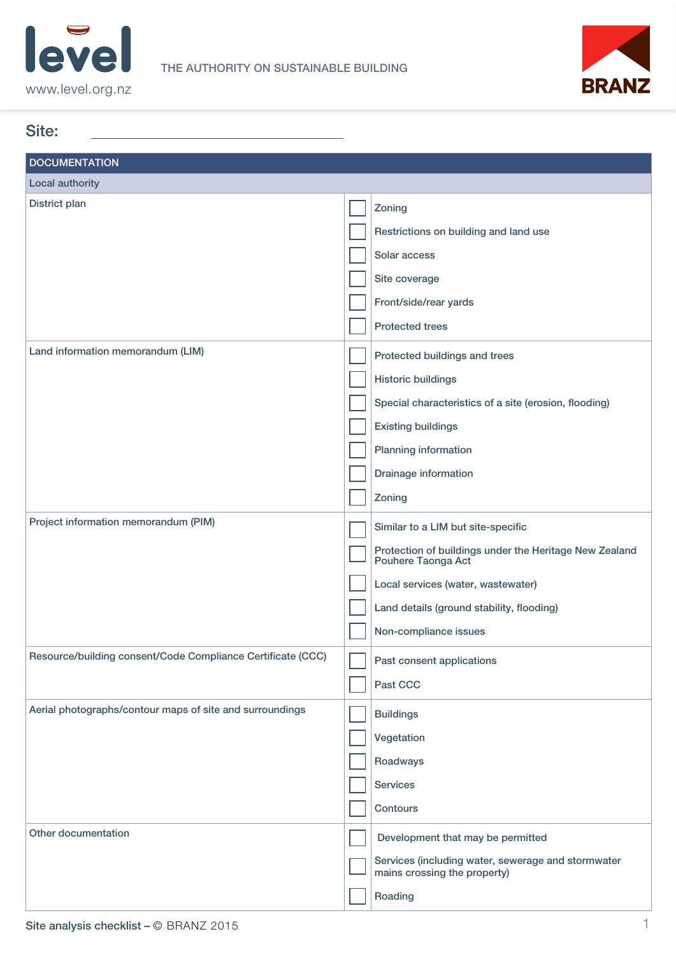



| <b>DOCUMENTATION</b><br>Local authority<br>District plan<br>Zoning<br>Restrictions on building and land use<br>Solar access<br>Site coverage<br>Front/side/rear yards<br><b>Protected trees</b><br>Land information memorandum (LIM)<br>Protected buildings and trees<br><b>Historic buildings</b><br>Special characteristics of a site (erosion, flooding)<br><b>Existing buildings</b><br>Planning information<br>Drainage information<br>Zoning<br>Project information memorandum (PIM)<br>Similar to a LIM but site-specific<br>Protection of buildings under the Heritage New Zealand<br>Pouhere Taonga Act<br>Local services (water, wastewater)<br>Land details (ground stability, flooding)<br>Non-compliance issues<br>Resource/building consent/Code Compliance Certificate (CCC)<br>Past consent applications<br>Past CCC<br>Aerial photographs/contour maps of site and surroundings<br><b>Buildings</b><br>Vegetation<br>Roadways<br><b>Services</b><br>Contours | Site:               |                                   |
|-------------------------------------------------------------------------------------------------------------------------------------------------------------------------------------------------------------------------------------------------------------------------------------------------------------------------------------------------------------------------------------------------------------------------------------------------------------------------------------------------------------------------------------------------------------------------------------------------------------------------------------------------------------------------------------------------------------------------------------------------------------------------------------------------------------------------------------------------------------------------------------------------------------------------------------------------------------------------------|---------------------|-----------------------------------|
|                                                                                                                                                                                                                                                                                                                                                                                                                                                                                                                                                                                                                                                                                                                                                                                                                                                                                                                                                                               |                     |                                   |
|                                                                                                                                                                                                                                                                                                                                                                                                                                                                                                                                                                                                                                                                                                                                                                                                                                                                                                                                                                               |                     |                                   |
|                                                                                                                                                                                                                                                                                                                                                                                                                                                                                                                                                                                                                                                                                                                                                                                                                                                                                                                                                                               |                     |                                   |
|                                                                                                                                                                                                                                                                                                                                                                                                                                                                                                                                                                                                                                                                                                                                                                                                                                                                                                                                                                               |                     |                                   |
|                                                                                                                                                                                                                                                                                                                                                                                                                                                                                                                                                                                                                                                                                                                                                                                                                                                                                                                                                                               |                     |                                   |
|                                                                                                                                                                                                                                                                                                                                                                                                                                                                                                                                                                                                                                                                                                                                                                                                                                                                                                                                                                               |                     |                                   |
|                                                                                                                                                                                                                                                                                                                                                                                                                                                                                                                                                                                                                                                                                                                                                                                                                                                                                                                                                                               |                     |                                   |
|                                                                                                                                                                                                                                                                                                                                                                                                                                                                                                                                                                                                                                                                                                                                                                                                                                                                                                                                                                               |                     |                                   |
|                                                                                                                                                                                                                                                                                                                                                                                                                                                                                                                                                                                                                                                                                                                                                                                                                                                                                                                                                                               |                     |                                   |
|                                                                                                                                                                                                                                                                                                                                                                                                                                                                                                                                                                                                                                                                                                                                                                                                                                                                                                                                                                               |                     |                                   |
|                                                                                                                                                                                                                                                                                                                                                                                                                                                                                                                                                                                                                                                                                                                                                                                                                                                                                                                                                                               |                     |                                   |
|                                                                                                                                                                                                                                                                                                                                                                                                                                                                                                                                                                                                                                                                                                                                                                                                                                                                                                                                                                               |                     |                                   |
|                                                                                                                                                                                                                                                                                                                                                                                                                                                                                                                                                                                                                                                                                                                                                                                                                                                                                                                                                                               |                     |                                   |
|                                                                                                                                                                                                                                                                                                                                                                                                                                                                                                                                                                                                                                                                                                                                                                                                                                                                                                                                                                               |                     |                                   |
|                                                                                                                                                                                                                                                                                                                                                                                                                                                                                                                                                                                                                                                                                                                                                                                                                                                                                                                                                                               |                     |                                   |
|                                                                                                                                                                                                                                                                                                                                                                                                                                                                                                                                                                                                                                                                                                                                                                                                                                                                                                                                                                               |                     |                                   |
|                                                                                                                                                                                                                                                                                                                                                                                                                                                                                                                                                                                                                                                                                                                                                                                                                                                                                                                                                                               |                     |                                   |
|                                                                                                                                                                                                                                                                                                                                                                                                                                                                                                                                                                                                                                                                                                                                                                                                                                                                                                                                                                               |                     |                                   |
|                                                                                                                                                                                                                                                                                                                                                                                                                                                                                                                                                                                                                                                                                                                                                                                                                                                                                                                                                                               |                     |                                   |
|                                                                                                                                                                                                                                                                                                                                                                                                                                                                                                                                                                                                                                                                                                                                                                                                                                                                                                                                                                               |                     |                                   |
|                                                                                                                                                                                                                                                                                                                                                                                                                                                                                                                                                                                                                                                                                                                                                                                                                                                                                                                                                                               |                     |                                   |
|                                                                                                                                                                                                                                                                                                                                                                                                                                                                                                                                                                                                                                                                                                                                                                                                                                                                                                                                                                               |                     |                                   |
|                                                                                                                                                                                                                                                                                                                                                                                                                                                                                                                                                                                                                                                                                                                                                                                                                                                                                                                                                                               |                     |                                   |
|                                                                                                                                                                                                                                                                                                                                                                                                                                                                                                                                                                                                                                                                                                                                                                                                                                                                                                                                                                               |                     |                                   |
|                                                                                                                                                                                                                                                                                                                                                                                                                                                                                                                                                                                                                                                                                                                                                                                                                                                                                                                                                                               |                     |                                   |
|                                                                                                                                                                                                                                                                                                                                                                                                                                                                                                                                                                                                                                                                                                                                                                                                                                                                                                                                                                               |                     |                                   |
|                                                                                                                                                                                                                                                                                                                                                                                                                                                                                                                                                                                                                                                                                                                                                                                                                                                                                                                                                                               |                     |                                   |
|                                                                                                                                                                                                                                                                                                                                                                                                                                                                                                                                                                                                                                                                                                                                                                                                                                                                                                                                                                               | Other documentation | Development that may be permitted |
| Services (including water, sewerage and stormwater<br>mains crossing the property)                                                                                                                                                                                                                                                                                                                                                                                                                                                                                                                                                                                                                                                                                                                                                                                                                                                                                            |                     |                                   |
| Roading                                                                                                                                                                                                                                                                                                                                                                                                                                                                                                                                                                                                                                                                                                                                                                                                                                                                                                                                                                       |                     |                                   |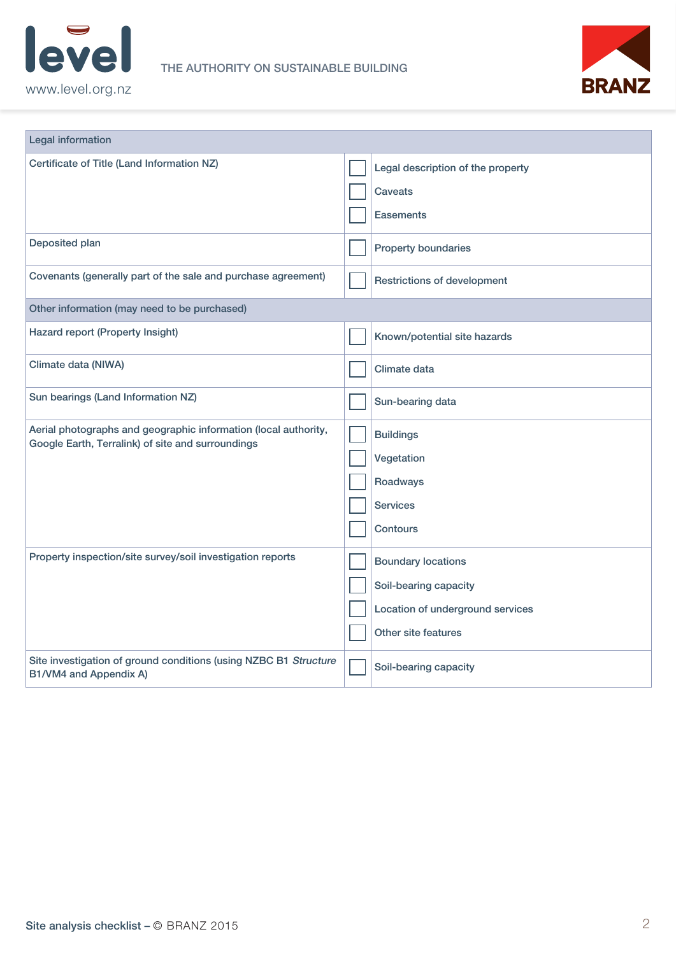



| <b>Legal information</b>                                                                                             |                                                                                                               |
|----------------------------------------------------------------------------------------------------------------------|---------------------------------------------------------------------------------------------------------------|
| Certificate of Title (Land Information NZ)                                                                           | Legal description of the property<br><b>Caveats</b><br><b>Easements</b>                                       |
| Deposited plan                                                                                                       | <b>Property boundaries</b>                                                                                    |
| Covenants (generally part of the sale and purchase agreement)                                                        | <b>Restrictions of development</b>                                                                            |
| Other information (may need to be purchased)                                                                         |                                                                                                               |
| Hazard report (Property Insight)                                                                                     | Known/potential site hazards                                                                                  |
| Climate data (NIWA)                                                                                                  | Climate data                                                                                                  |
| Sun bearings (Land Information NZ)                                                                                   | Sun-bearing data                                                                                              |
| Aerial photographs and geographic information (local authority,<br>Google Earth, Terralink) of site and surroundings | <b>Buildings</b><br>Vegetation<br>Roadways<br><b>Services</b><br><b>Contours</b>                              |
| Property inspection/site survey/soil investigation reports                                                           | <b>Boundary locations</b><br>Soil-bearing capacity<br>Location of underground services<br>Other site features |
| Site investigation of ground conditions (using NZBC B1 Structure<br>B1/VM4 and Appendix A)                           | Soil-bearing capacity                                                                                         |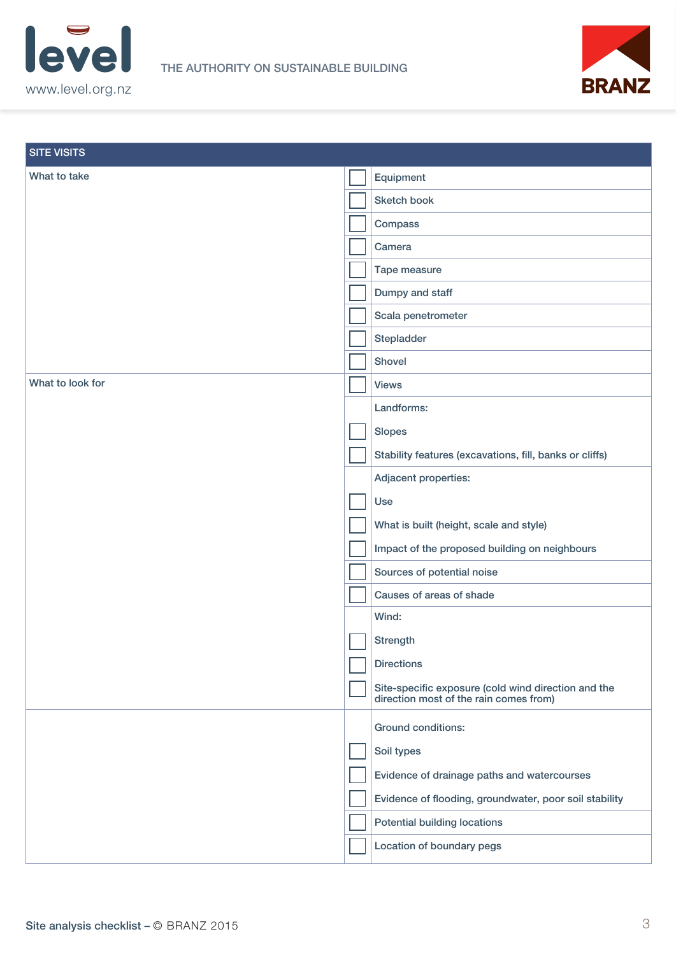



| <b>SITE VISITS</b> |                                                                                               |
|--------------------|-----------------------------------------------------------------------------------------------|
| What to take       | Equipment                                                                                     |
|                    | Sketch book                                                                                   |
|                    | Compass                                                                                       |
|                    | Camera                                                                                        |
|                    | Tape measure                                                                                  |
|                    | Dumpy and staff                                                                               |
|                    | Scala penetrometer                                                                            |
|                    | Stepladder                                                                                    |
|                    | Shovel                                                                                        |
| What to look for   | <b>Views</b>                                                                                  |
|                    | Landforms:                                                                                    |
|                    | <b>Slopes</b>                                                                                 |
|                    | Stability features (excavations, fill, banks or cliffs)                                       |
|                    | Adjacent properties:                                                                          |
|                    | Use                                                                                           |
|                    | What is built (height, scale and style)                                                       |
|                    | Impact of the proposed building on neighbours                                                 |
|                    | Sources of potential noise                                                                    |
|                    | Causes of areas of shade                                                                      |
|                    | Wind:                                                                                         |
|                    | <b>Strength</b>                                                                               |
|                    | <b>Directions</b>                                                                             |
|                    | Site-specific exposure (cold wind direction and the<br>direction most of the rain comes from) |
|                    | Ground conditions:                                                                            |
|                    | Soil types                                                                                    |
|                    | Evidence of drainage paths and watercourses                                                   |
|                    | Evidence of flooding, groundwater, poor soil stability                                        |
|                    | <b>Potential building locations</b>                                                           |
|                    | Location of boundary pegs                                                                     |
|                    |                                                                                               |